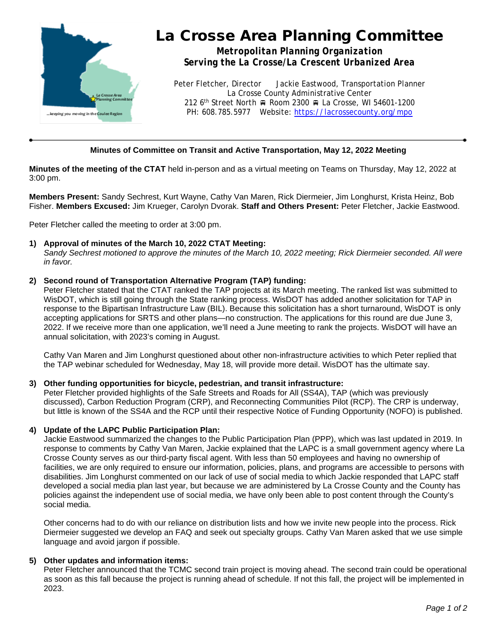

# La Crosse Area Planning Committee

*Metropolitan Planning Organization Serving the La Crosse/La Crescent Urbanized Area*

Peter Fletcher, Director Jackie Eastwood, Transportation Planner La Crosse County Administrative Center 212 6<sup>th</sup> Street North A Room 2300 A La Crosse, WI 54601-1200 PH: 608.785.5977 Website:<https://lacrossecounty.org/mpo>

# **Minutes of Committee on Transit and Active Transportation, May 12, 2022 Meeting**

**Minutes of the meeting of the CTAT** held in-person and as a virtual meeting on Teams on Thursday, May 12, 2022 at 3:00 pm.

**Members Present:** Sandy Sechrest, Kurt Wayne, Cathy Van Maren, Rick Diermeier, Jim Longhurst, Krista Heinz, Bob Fisher. **Members Excused:** Jim Krueger, Carolyn Dvorak. **Staff and Others Present:** Peter Fletcher, Jackie Eastwood.

Peter Fletcher called the meeting to order at 3:00 pm.

## **1) Approval of minutes of the March 10, 2022 CTAT Meeting:**

*Sandy Sechrest motioned to approve the minutes of the March 10, 2022 meeting; Rick Diermeier seconded. All were in favor.*

## **2) Second round of Transportation Alternative Program (TAP) funding:**

Peter Fletcher stated that the CTAT ranked the TAP projects at its March meeting. The ranked list was submitted to WisDOT, which is still going through the State ranking process. WisDOT has added another solicitation for TAP in response to the Bipartisan Infrastructure Law (BIL). Because this solicitation has a short turnaround, WisDOT is only accepting applications for SRTS and other plans—no construction. The applications for this round are due June 3, 2022. If we receive more than one application, we'll need a June meeting to rank the projects. WisDOT will have an annual solicitation, with 2023's coming in August.

Cathy Van Maren and Jim Longhurst questioned about other non-infrastructure activities to which Peter replied that the TAP webinar scheduled for Wednesday, May 18, will provide more detail. WisDOT has the ultimate say.

#### **3) Other funding opportunities for bicycle, pedestrian, and transit infrastructure:**

Peter Fletcher provided highlights of the Safe Streets and Roads for All (SS4A), TAP (which was previously discussed), Carbon Reduction Program (CRP), and Reconnecting Communities Pilot (RCP). The CRP is underway, but little is known of the SS4A and the RCP until their respective Notice of Funding Opportunity (NOFO) is published.

#### **4) Update of the LAPC Public Participation Plan:**

Jackie Eastwood summarized the changes to the Public Participation Plan (PPP), which was last updated in 2019. In response to comments by Cathy Van Maren, Jackie explained that the LAPC is a small government agency where La Crosse County serves as our third-party fiscal agent. With less than 50 employees and having no ownership of facilities, we are only required to ensure our information, policies, plans, and programs are accessible to persons with disabilities. Jim Longhurst commented on our lack of use of social media to which Jackie responded that LAPC staff developed a social media plan last year, but because we are administered by La Crosse County and the County has policies against the independent use of social media, we have only been able to post content through the County's social media.

Other concerns had to do with our reliance on distribution lists and how we invite new people into the process. Rick Diermeier suggested we develop an FAQ and seek out specialty groups. Cathy Van Maren asked that we use simple language and avoid jargon if possible.

# **5) Other updates and information items:**

Peter Fletcher announced that the TCMC second train project is moving ahead. The second train could be operational as soon as this fall because the project is running ahead of schedule. If not this fall, the project will be implemented in 2023.